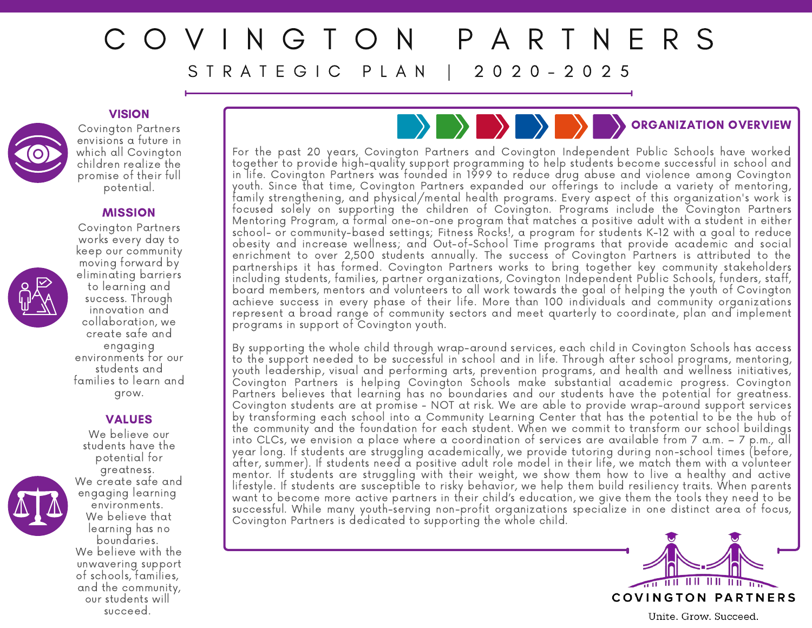# P A R T N E R S S T R A T E G I C P L A N 1 2 0 2 0 - 2 0 2 5

### **VISION**



Covington Partners envisions a future in which all Covington children realize the promise of their full potential.

### **MISSION**



#### VALUES We believe our

students have the



potential for greatness. We create safe and engaging learning environments. We believe that learning has no boundaries. We believe with the unwavering support of schools, families, and the community, our students will succeed.

## ORGANIZATION OVERVIEW

For the past 20 years, Covington Partners and Covington Independent Public Schools have worked together to provide high-quality support programming to help students become successful in school and in life. Covington Partners was founded in 1999 to reduce drug abuse and violence among Covington youth. Since that time, Covington Partners expanded our offerings to include a variety of mentoring, family strengthening, and physical/mental health programs. Every aspect of this organization's work is focused solely on supporting the children of Covington. Programs include the Covington Partners Mentoring Program, a formal one-on-one program that matches a positive adult with a student in either school- or community-based settings; Fitness Rocks!, a program for students K-12 with a goal to reduce obesity and increase wellness; and Out-of-School Time programs that provide academic and social enrichment to over 2,500 students annually. The success of Covington Partners is attributed to the partnerships it has formed. Covington Partners works to bring together key community stakeholders including students, families, partner organizations, Covington Independent Public Schools, funders, staff, board members, mentors and volunteers to all work towards the goal of helping the youth of Covington achieve success in every phase of their life. More than 100 individuals and community organizations represent a broad range of community sectors and meet quarterly to coordinate, plan and implement programs in support of Covington youth.

By supporting the whole child through wrap-around services, each child in Covington Schools has access to the support needed to be successful in school and in life. Through after school programs, mentoring, youth leadership, visual and performing arts, prevention programs, and health and wellness initiatives, Covington Partners is helping Covington Schools make substantial academic progress. Covington Partners believes that learning has no boundaries and our students have the potential for greatness. Covington students are at promise - NOT at risk. We are able to provide wrap-around support services by transforming each school into a Community Learning Center that has the potential to be the hub of the community and the foundation for each student. When we commit to transform our school buildings into CLCs, we envision a place where a coordination of services are available from 7 a.m. – 7 p.m., all year long. If students are struggling academically, we provide tutoring during non-school times (before, after, summer). If students need a positive adult role model in their life, we match them with a volunteer mentor. If students are struggling with their weight, we show them how to live a healthy and active lifestyle. If students are susceptible to risky behavior, we help them build resiliency traits. When parents want to become more active partners in their child's education, we give them the tools they need to be successful. While many youth-serving non-profit organizations specialize in one distinct area of focus, Covington Partners is dedicated to supporting the whole child.



Unite. Grow. Succeed.